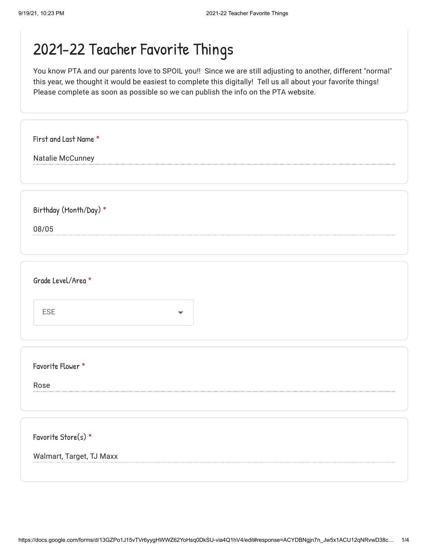## 2021-22 Teacher Favorite Things

You know PTA and our parents love to SPOIL you!! Since we are still adjusting to another, different "normal" this year, we thought it would be easiest to complete this digitally! Tell us all about your favorite things! Please complete as soon as possible so we can publish the info on the PTA website.

| First and Last Name *           |
|---------------------------------|
| Natalie McCunney                |
|                                 |
|                                 |
|                                 |
| Birthday (Month/Day) *          |
| 08/05                           |
|                                 |
|                                 |
|                                 |
| Grade Level/Area *              |
|                                 |
| ESE<br>$\overline{\phantom{a}}$ |
|                                 |
|                                 |
|                                 |
| Favorite Flower *               |
|                                 |
| Rose                            |
|                                 |
|                                 |
|                                 |
| Favorite Store(s) *             |
| Walmart, Target, TJ Maxx        |
|                                 |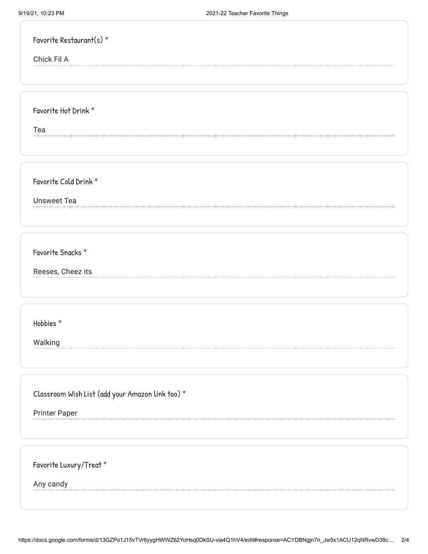| Favorite Restaurant(s) *                         |
|--------------------------------------------------|
| Chick Fil A                                      |
|                                                  |
|                                                  |
| Favorite Hot Drink *                             |
| Tea                                              |
|                                                  |
|                                                  |
| Favorite Cold Drink *                            |
| <b>Unsweet Tea</b>                               |
|                                                  |
|                                                  |
| Favorite Snacks *                                |
|                                                  |
| Reeses, Cheez its                                |
|                                                  |
| Hobbies*                                         |
|                                                  |
| Walking                                          |
|                                                  |
|                                                  |
| Classroom Wish List (add your Amazon link too) * |
| <b>Printer Paper</b>                             |
|                                                  |
|                                                  |
| Favorite Luxury/Treat *                          |
| Any candy                                        |
|                                                  |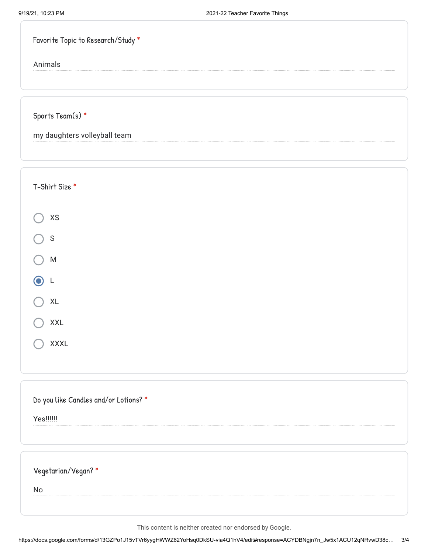Animals

Sports Team(s) \*

my daughters volleyball team

| T-Shirt Size *                        |
|---------------------------------------|
| XS                                    |
| $\mathsf S$                           |
| ${\sf M}$                             |
| ⋒<br>L                                |
| XL                                    |
| <b>XXL</b>                            |
| XXXL                                  |
|                                       |
| Do you like Candles and/or Lotions? * |
| Yes!!!!!!                             |
|                                       |
| Vegetarian/Vegan?*                    |
| No                                    |
|                                       |

This content is neither created nor endorsed by Google.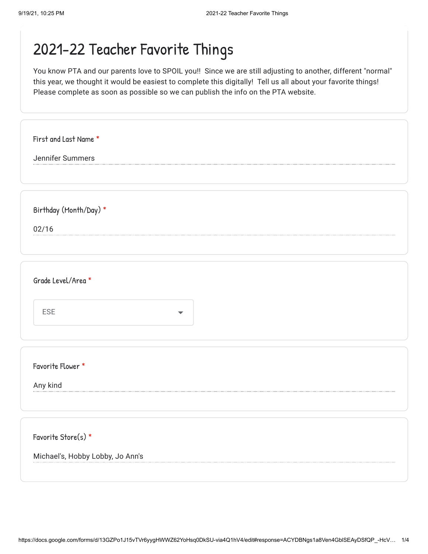## 2021-22 Teacher Favorite Things

You know PTA and our parents love to SPOIL you!! Since we are still adjusting to another, different "normal" this year, we thought it would be easiest to complete this digitally! Tell us all about your favorite things! Please complete as soon as possible so we can publish the info on the PTA website.

| First and Last Name *            |
|----------------------------------|
| Jennifer Summers                 |
|                                  |
|                                  |
|                                  |
| Birthday (Month/Day) *           |
| 02/16                            |
|                                  |
|                                  |
|                                  |
| Grade Level/Area *               |
|                                  |
|                                  |
| ESE<br>$\overline{\phantom{a}}$  |
|                                  |
|                                  |
|                                  |
| Favorite Flower *                |
|                                  |
| Any kind                         |
|                                  |
|                                  |
|                                  |
| Favorite Store(s) *              |
|                                  |
| Michael's, Hobby Lobby, Jo Ann's |
|                                  |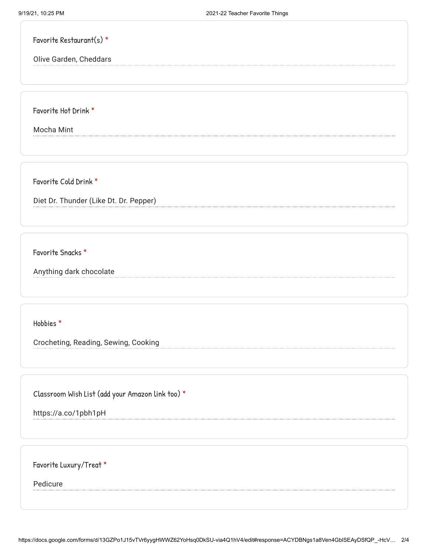Favorite Restaurant(s) \*

Olive Garden, Cheddars

Favorite Hot Drink \*

Mocha Mint

Favorite Cold Drink \*

Diet Dr. Thunder (Like Dt. Dr. Pepper)

Favorite Snacks \*

Anything dark chocolate

Hobbies \*

Crocheting, Reading, Sewing, Cooking

Classroom Wish List (add your Amazon link too) \*

https://a.co/1pbh1pH

Favorite Luxury/Treat \*

Pedicure